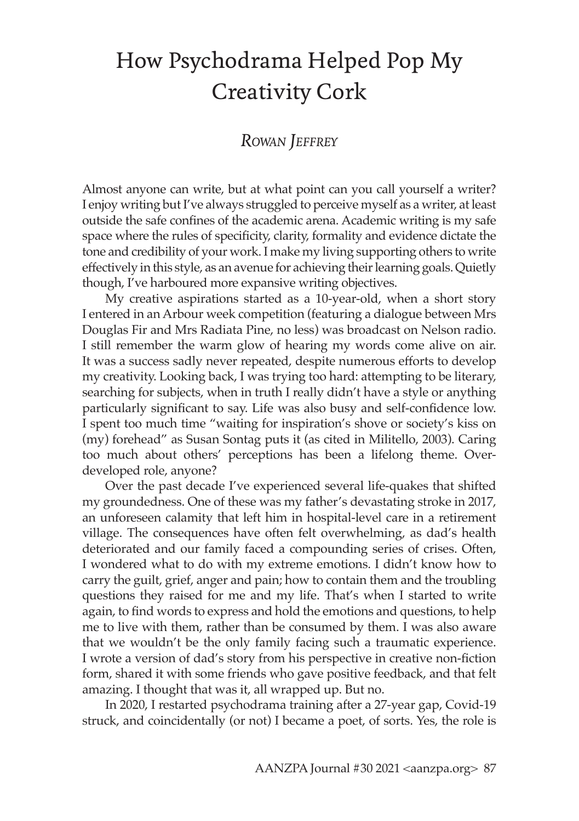# How Psychodrama Helped Pop My Creativity Cork

# *Rowan Jeffrey*

Almost anyone can write, but at what point can you call yourself a writer? I enjoy writing but I've always struggled to perceive myself as a writer, at least outside the safe confines of the academic arena. Academic writing is my safe space where the rules of specificity, clarity, formality and evidence dictate the tone and credibility of your work. I make my living supporting others to write effectively in this style, as an avenue for achieving their learning goals. Quietly though, I've harboured more expansive writing objectives.

My creative aspirations started as a 10-year-old, when a short story I entered in an Arbour week competition (featuring a dialogue between Mrs Douglas Fir and Mrs Radiata Pine, no less) was broadcast on Nelson radio. I still remember the warm glow of hearing my words come alive on air. It was a success sadly never repeated, despite numerous efforts to develop my creativity. Looking back, I was trying too hard: attempting to be literary, searching for subjects, when in truth I really didn't have a style or anything particularly significant to say. Life was also busy and self-confidence low. I spent too much time "waiting for inspiration's shove or society's kiss on (my) forehead" as Susan Sontag puts it (as cited in Militello, 2003). Caring too much about others' perceptions has been a lifelong theme. Overdeveloped role, anyone?

Over the past decade I've experienced several life-quakes that shifted my groundedness. One of these was my father's devastating stroke in 2017, an unforeseen calamity that left him in hospital-level care in a retirement village. The consequences have often felt overwhelming, as dad's health deteriorated and our family faced a compounding series of crises. Often, I wondered what to do with my extreme emotions. I didn't know how to carry the guilt, grief, anger and pain; how to contain them and the troubling questions they raised for me and my life. That's when I started to write again, to find words to express and hold the emotions and questions, to help me to live with them, rather than be consumed by them. I was also aware that we wouldn't be the only family facing such a traumatic experience. I wrote a version of dad's story from his perspective in creative non-fiction form, shared it with some friends who gave positive feedback, and that felt amazing. I thought that was it, all wrapped up. But no.

In 2020, I restarted psychodrama training after a 27-year gap, Covid-19 struck, and coincidentally (or not) I became a poet, of sorts. Yes, the role is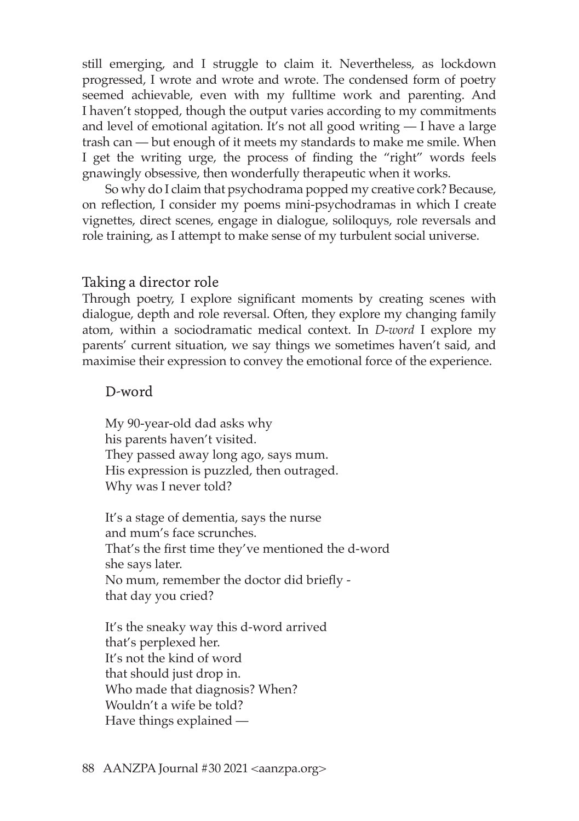still emerging, and I struggle to claim it. Nevertheless, as lockdown progressed, I wrote and wrote and wrote. The condensed form of poetry seemed achievable, even with my fulltime work and parenting. And I haven't stopped, though the output varies according to my commitments and level of emotional agitation. It's not all good writing  $-$  I have a large trash can — but enough of it meets my standards to make me smile. When I get the writing urge, the process of finding the "right" words feels gnawingly obsessive, then wonderfully therapeutic when it works.

So why do I claim that psychodrama popped my creative cork? Because, on reflection, I consider my poems mini-psychodramas in which I create vignettes, direct scenes, engage in dialogue, soliloquys, role reversals and role training, as I attempt to make sense of my turbulent social universe.

#### Taking a director role

Through poetry, I explore significant moments by creating scenes with dialogue, depth and role reversal. Often, they explore my changing family atom, within a sociodramatic medical context. In *D-word* I explore my parents' current situation, we say things we sometimes haven't said, and maximise their expression to convey the emotional force of the experience.

#### D-word

My 90-year-old dad asks why his parents haven't visited. They passed away long ago, says mum. His expression is puzzled, then outraged. Why was I never told?

It's a stage of dementia, says the nurse and mum's face scrunches. That's the first time they've mentioned the d-word she says later. No mum, remember the doctor did briefly that day you cried?

It's the sneaky way this d-word arrived that's perplexed her. It's not the kind of word that should just drop in. Who made that diagnosis? When? Wouldn't a wife be told? Have things explained —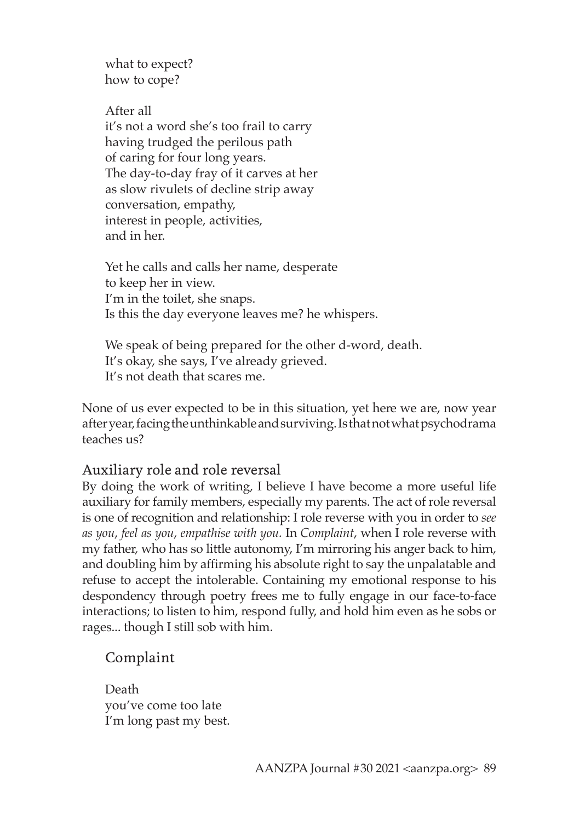what to expect? how to cope?

After all it's not a word she's too frail to carry having trudged the perilous path of caring for four long years. The day-to-day fray of it carves at her as slow rivulets of decline strip away conversation, empathy, interest in people, activities, and in her.

Yet he calls and calls her name, desperate to keep her in view. I'm in the toilet, she snaps. Is this the day everyone leaves me? he whispers.

We speak of being prepared for the other d-word, death. It's okay, she says, I've already grieved. It's not death that scares me.

None of us ever expected to be in this situation, yet here we are, now year after year, facing the unthinkable and surviving. Is that not what psychodrama teaches us?

## Auxiliary role and role reversal

By doing the work of writing, I believe I have become a more useful life auxiliary for family members, especially my parents. The act of role reversal is one of recognition and relationship: I role reverse with you in order to *see as you*, *feel as you*, *empathise with you.* In *Complaint*, when I role reverse with my father, who has so little autonomy, I'm mirroring his anger back to him, and doubling him by affirming his absolute right to say the unpalatable and refuse to accept the intolerable. Containing my emotional response to his despondency through poetry frees me to fully engage in our face-to-face interactions; to listen to him, respond fully, and hold him even as he sobs or rages... though I still sob with him.

## Complaint

Death you've come too late I'm long past my best.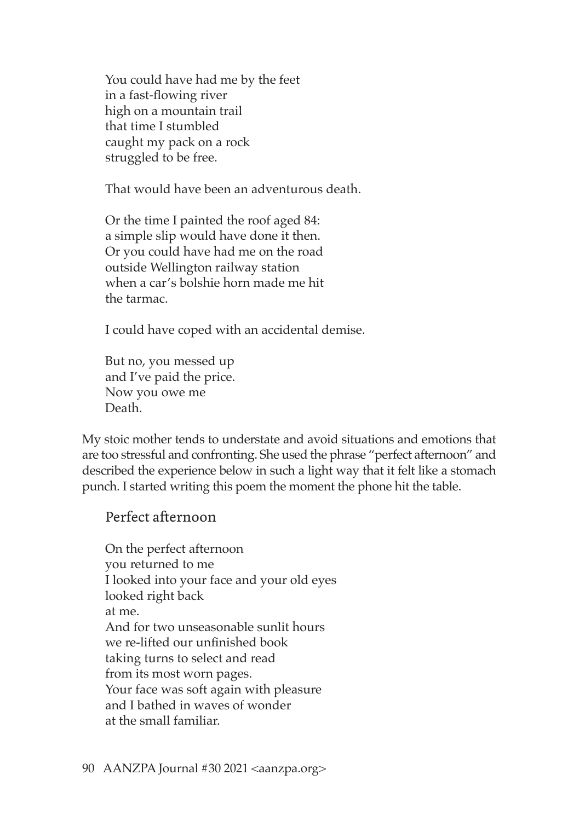You could have had me by the feet in a fast-flowing river high on a mountain trail that time I stumbled caught my pack on a rock struggled to be free.

That would have been an adventurous death.

Or the time I painted the roof aged 84: a simple slip would have done it then. Or you could have had me on the road outside Wellington railway station when a car's bolshie horn made me hit the tarmac.

I could have coped with an accidental demise.

But no, you messed up and I've paid the price. Now you owe me Death.

My stoic mother tends to understate and avoid situations and emotions that are too stressful and confronting. She used the phrase "perfect afternoon" and described the experience below in such a light way that it felt like a stomach punch. I started writing this poem the moment the phone hit the table.

### Perfect afternoon

On the perfect afternoon you returned to me I looked into your face and your old eyes looked right back at me. And for two unseasonable sunlit hours we re-lifted our unfinished book taking turns to select and read from its most worn pages. Your face was soft again with pleasure and I bathed in waves of wonder at the small familiar.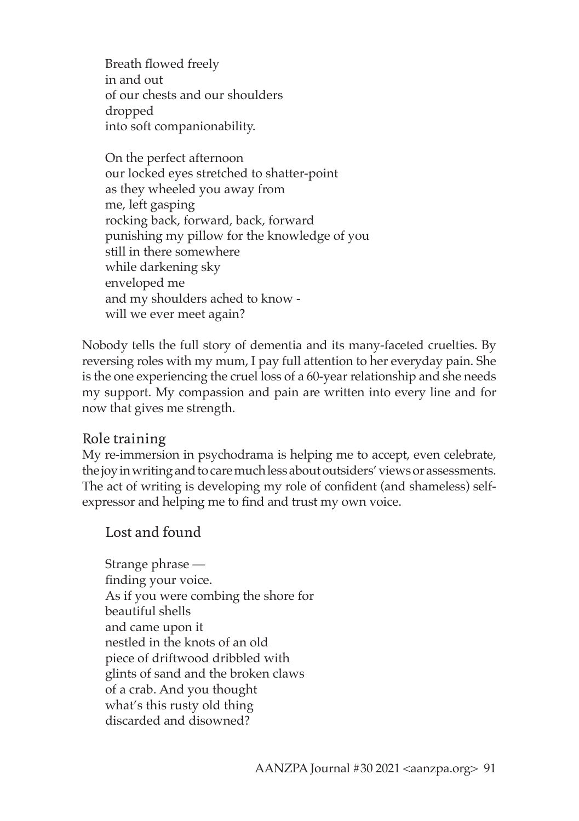Breath flowed freely in and out of our chests and our shoulders dropped into soft companionability.

On the perfect afternoon our locked eyes stretched to shatter-point as they wheeled you away from me, left gasping rocking back, forward, back, forward punishing my pillow for the knowledge of you still in there somewhere while darkening sky enveloped me and my shoulders ached to know will we ever meet again?

Nobody tells the full story of dementia and its many-faceted cruelties. By reversing roles with my mum, I pay full attention to her everyday pain. She is the one experiencing the cruel loss of a 60-year relationship and she needs my support. My compassion and pain are written into every line and for now that gives me strength.

## Role training

My re-immersion in psychodrama is helping me to accept, even celebrate, the joy in writing and to care much less about outsiders' views or assessments. The act of writing is developing my role of confident (and shameless) selfexpressor and helping me to find and trust my own voice.

Lost and found

Strange phrase finding your voice. As if you were combing the shore for beautiful shells and came upon it nestled in the knots of an old piece of driftwood dribbled with glints of sand and the broken claws of a crab. And you thought what's this rusty old thing discarded and disowned?